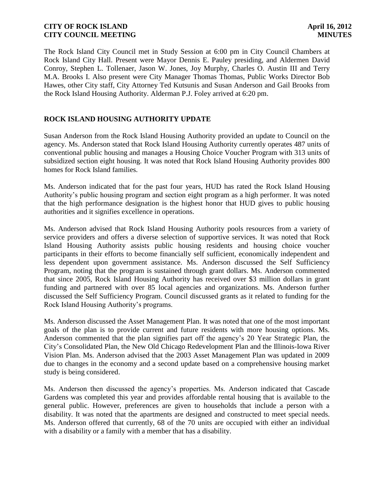The Rock Island City Council met in Study Session at 6:00 pm in City Council Chambers at Rock Island City Hall. Present were Mayor Dennis E. Pauley presiding, and Aldermen David Conroy, Stephen L. Tollenaer, Jason W. Jones, Joy Murphy, Charles O. Austin III and Terry M.A. Brooks I. Also present were City Manager Thomas Thomas, Public Works Director Bob Hawes, other City staff, City Attorney Ted Kutsunis and Susan Anderson and Gail Brooks from the Rock Island Housing Authority. Alderman P.J. Foley arrived at 6:20 pm.

## **ROCK ISLAND HOUSING AUTHORITY UPDATE**

Susan Anderson from the Rock Island Housing Authority provided an update to Council on the agency. Ms. Anderson stated that Rock Island Housing Authority currently operates 487 units of conventional public housing and manages a Housing Choice Voucher Program with 313 units of subsidized section eight housing. It was noted that Rock Island Housing Authority provides 800 homes for Rock Island families.

Ms. Anderson indicated that for the past four years, HUD has rated the Rock Island Housing Authority's public housing program and section eight program as a high performer. It was noted that the high performance designation is the highest honor that HUD gives to public housing authorities and it signifies excellence in operations.

Ms. Anderson advised that Rock Island Housing Authority pools resources from a variety of service providers and offers a diverse selection of supportive services. It was noted that Rock Island Housing Authority assists public housing residents and housing choice voucher participants in their efforts to become financially self sufficient, economically independent and less dependent upon government assistance. Ms. Anderson discussed the Self Sufficiency Program, noting that the program is sustained through grant dollars. Ms. Anderson commented that since 2005, Rock Island Housing Authority has received over \$3 million dollars in grant funding and partnered with over 85 local agencies and organizations. Ms. Anderson further discussed the Self Sufficiency Program. Council discussed grants as it related to funding for the Rock Island Housing Authority's programs.

Ms. Anderson discussed the Asset Management Plan. It was noted that one of the most important goals of the plan is to provide current and future residents with more housing options. Ms. Anderson commented that the plan signifies part off the agency's 20 Year Strategic Plan, the City's Consolidated Plan, the New Old Chicago Redevelopment Plan and the Illinois-Iowa River Vision Plan. Ms. Anderson advised that the 2003 Asset Management Plan was updated in 2009 due to changes in the economy and a second update based on a comprehensive housing market study is being considered.

Ms. Anderson then discussed the agency's properties. Ms. Anderson indicated that Cascade Gardens was completed this year and provides affordable rental housing that is available to the general public. However, preferences are given to households that include a person with a disability. It was noted that the apartments are designed and constructed to meet special needs. Ms. Anderson offered that currently, 68 of the 70 units are occupied with either an individual with a disability or a family with a member that has a disability.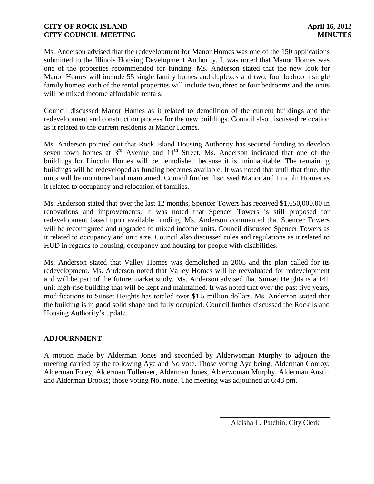Ms. Anderson advised that the redevelopment for Manor Homes was one of the 150 applications submitted to the Illinois Housing Development Authority. It was noted that Manor Homes was one of the properties recommended for funding. Ms. Anderson stated that the new look for Manor Homes will include 55 single family homes and duplexes and two, four bedroom single family homes; each of the rental properties will include two, three or four bedrooms and the units will be mixed income affordable rentals.

Council discussed Manor Homes as it related to demolition of the current buildings and the redevelopment and construction process for the new buildings. Council also discussed relocation as it related to the current residents at Manor Homes.

Ms. Anderson pointed out that Rock Island Housing Authority has secured funding to develop seven town homes at  $3<sup>rd</sup>$  Avenue and  $11<sup>th</sup>$  Street. Ms. Anderson indicated that one of the buildings for Lincoln Homes will be demolished because it is uninhabitable. The remaining buildings will be redeveloped as funding becomes available. It was noted that until that time, the units will be monitored and maintained. Council further discussed Manor and Lincoln Homes as it related to occupancy and relocation of families.

Ms. Anderson stated that over the last 12 months, Spencer Towers has received \$1,650,000.00 in renovations and improvements. It was noted that Spencer Towers is still proposed for redevelopment based upon available funding. Ms. Anderson commented that Spencer Towers will be reconfigured and upgraded to mixed income units. Council discussed Spencer Towers as it related to occupancy and unit size. Council also discussed rules and regulations as it related to HUD in regards to housing, occupancy and housing for people with disabilities.

Ms. Anderson stated that Valley Homes was demolished in 2005 and the plan called for its redevelopment. Ms. Anderson noted that Valley Homes will be reevaluated for redevelopment and will be part of the future market study. Ms. Anderson advised that Sunset Heights is a 141 unit high-rise building that will be kept and maintained. It was noted that over the past five years, modifications to Sunset Heights has totaled over \$1.5 million dollars. Ms. Anderson stated that the building is in good solid shape and fully occupied. Council further discussed the Rock Island Housing Authority's update.

# **ADJOURNMENT**

A motion made by Alderman Jones and seconded by Alderwoman Murphy to adjourn the meeting carried by the following Aye and No vote. Those voting Aye being, Alderman Conroy, Alderman Foley, Alderman Tollenaer, Alderman Jones, Alderwoman Murphy, Alderman Austin and Alderman Brooks; those voting No, none. The meeting was adjourned at 6:43 pm.

\_\_\_\_\_\_\_\_\_\_\_\_\_\_\_\_\_\_\_\_\_\_\_\_\_\_\_\_\_\_ Aleisha L. Patchin, City Clerk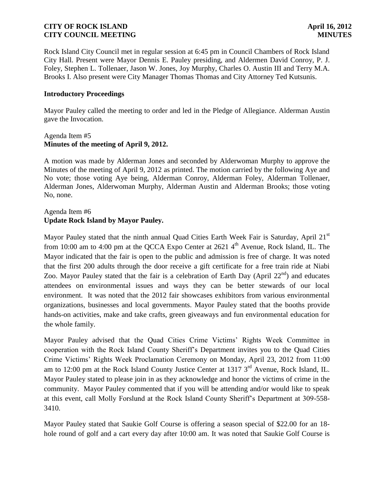Rock Island City Council met in regular session at 6:45 pm in Council Chambers of Rock Island City Hall. Present were Mayor Dennis E. Pauley presiding, and Aldermen David Conroy, P. J. Foley, Stephen L. Tollenaer, Jason W. Jones, Joy Murphy, Charles O. Austin III and Terry M.A. Brooks I. Also present were City Manager Thomas Thomas and City Attorney Ted Kutsunis.

### **Introductory Proceedings**

Mayor Pauley called the meeting to order and led in the Pledge of Allegiance. Alderman Austin gave the Invocation.

### Agenda Item #5 **Minutes of the meeting of April 9, 2012.**

A motion was made by Alderman Jones and seconded by Alderwoman Murphy to approve the Minutes of the meeting of April 9, 2012 as printed. The motion carried by the following Aye and No vote; those voting Aye being, Alderman Conroy, Alderman Foley, Alderman Tollenaer, Alderman Jones, Alderwoman Murphy, Alderman Austin and Alderman Brooks; those voting No, none.

# Agenda Item #6 **Update Rock Island by Mayor Pauley.**

Mayor Pauley stated that the ninth annual Quad Cities Earth Week Fair is Saturday, April 21<sup>st</sup> from 10:00 am to 4:00 pm at the QCCA Expo Center at 2621 4<sup>th</sup> Avenue, Rock Island, IL. The Mayor indicated that the fair is open to the public and admission is free of charge. It was noted that the first 200 adults through the door receive a gift certificate for a free train ride at Niabi Zoo. Mayor Pauley stated that the fair is a celebration of Earth Day (April  $22<sup>nd</sup>$ ) and educates attendees on environmental issues and ways they can be better stewards of our local environment. It was noted that the 2012 fair showcases exhibitors from various environmental organizations, businesses and local governments. Mayor Pauley stated that the booths provide hands-on activities, make and take crafts, green giveaways and fun environmental education for the whole family.

Mayor Pauley advised that the Quad Cities Crime Victims' Rights Week Committee in cooperation with the Rock Island County Sheriff's Department invites you to the Quad Cities Crime Victims' Rights Week Proclamation Ceremony on Monday, April 23, 2012 from 11:00 am to 12:00 pm at the Rock Island County Justice Center at 1317  $3<sup>rd</sup>$  Avenue, Rock Island, IL. Mayor Pauley stated to please join in as they acknowledge and honor the victims of crime in the community. Mayor Pauley commented that if you will be attending and/or would like to speak at this event, call Molly Forslund at the Rock Island County Sheriff's Department at 309-558- 3410.

Mayor Pauley stated that Saukie Golf Course is offering a season special of \$22.00 for an 18 hole round of golf and a cart every day after 10:00 am. It was noted that Saukie Golf Course is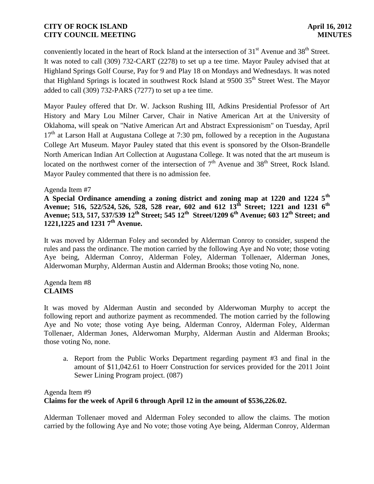conveniently located in the heart of Rock Island at the intersection of  $31<sup>st</sup>$  Avenue and  $38<sup>th</sup>$  Street. It was noted to call (309) 732-CART (2278) to set up a tee time. Mayor Pauley advised that at Highland Springs Golf Course, Pay for 9 and Play 18 on Mondays and Wednesdays. It was noted that Highland Springs is located in southwest Rock Island at  $9500$   $35<sup>th</sup>$  Street West. The Mayor added to call (309) 732-PARS (7277) to set up a tee time.

Mayor Pauley offered that Dr. W. Jackson Rushing III, Adkins Presidential Professor of Art History and Mary Lou Milner Carver, Chair in Native American Art at the University of Oklahoma, will speak on "Native American Art and Abstract Expressionism" on Tuesday, April  $17<sup>th</sup>$  at Larson Hall at Augustana College at 7:30 pm, followed by a reception in the Augustana College Art Museum. Mayor Pauley stated that this event is sponsored by the Olson-Brandelle North American Indian Art Collection at Augustana College. It was noted that the art museum is located on the northwest corner of the intersection of  $7<sup>th</sup>$  Avenue and 38<sup>th</sup> Street, Rock Island. Mayor Pauley commented that there is no admission fee.

### Agenda Item #7

**A Special Ordinance amending a zoning district and zoning map at 1220 and 1224 5th Avenue; 516, 522/524, 526, 528, 528 rear, 602 and 612 13th Street; 1221 and 1231 6th Avenue; 513, 517, 537/539 12th Street; 545 12th Street/1209 6th Avenue; 603 12th Street; and 1221,1225 and 1231 7th Avenue.**

 It was moved by Alderman Foley and seconded by Alderman Conroy to consider, suspend the rules and pass the ordinance. The motion carried by the following Aye and No vote; those voting Aye being, Alderman Conroy, Alderman Foley, Alderman Tollenaer, Alderman Jones, Alderwoman Murphy, Alderman Austin and Alderman Brooks; those voting No, none.

### Agenda Item #8 **CLAIMS**

It was moved by Alderman Austin and seconded by Alderwoman Murphy to accept the following report and authorize payment as recommended. The motion carried by the following Aye and No vote; those voting Aye being, Alderman Conroy, Alderman Foley, Alderman Tollenaer, Alderman Jones, Alderwoman Murphy, Alderman Austin and Alderman Brooks; those voting No, none.

a. Report from the Public Works Department regarding payment #3 and final in the amount of \$11,042.61 to Hoerr Construction for services provided for the 2011 Joint Sewer Lining Program project. (087)

# Agenda Item #9 **Claims for the week of April 6 through April 12 in the amount of \$536,226.02.**

Alderman Tollenaer moved and Alderman Foley seconded to allow the claims. The motion carried by the following Aye and No vote; those voting Aye being, Alderman Conroy, Alderman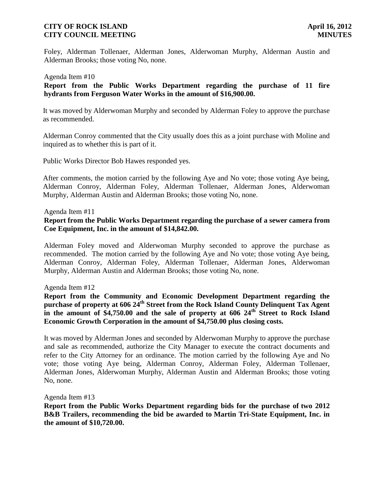Foley, Alderman Tollenaer, Alderman Jones, Alderwoman Murphy, Alderman Austin and Alderman Brooks; those voting No, none.

#### Agenda Item #10

 **Report from the Public Works Department regarding the purchase of 11 fire hydrants from Ferguson Water Works in the amount of \$16,900.00.** 

It was moved by Alderwoman Murphy and seconded by Alderman Foley to approve the purchase as recommended.

Alderman Conroy commented that the City usually does this as a joint purchase with Moline and inquired as to whether this is part of it.

Public Works Director Bob Hawes responded yes.

After comments, the motion carried by the following Aye and No vote; those voting Aye being, Alderman Conroy, Alderman Foley, Alderman Tollenaer, Alderman Jones, Alderwoman Murphy, Alderman Austin and Alderman Brooks; those voting No, none.

Agenda Item #11

### **Report from the Public Works Department regarding the purchase of a sewer camera from Coe Equipment, Inc. in the amount of \$14,842.00.**

Alderman Foley moved and Alderwoman Murphy seconded to approve the purchase as recommended. The motion carried by the following Aye and No vote; those voting Aye being, Alderman Conroy, Alderman Foley, Alderman Tollenaer, Alderman Jones, Alderwoman Murphy, Alderman Austin and Alderman Brooks; those voting No, none.

Agenda Item #12

**Report from the Community and Economic Development Department regarding the purchase of property at 606 24th Street from the Rock Island County Delinquent Tax Agent**  in the amount of \$4,750.00 and the sale of property at 606 24<sup>th</sup> Street to Rock Island **Economic Growth Corporation in the amount of \$4,750.00 plus closing costs.** 

It was moved by Alderman Jones and seconded by Alderwoman Murphy to approve the purchase and sale as recommended, authorize the City Manager to execute the contract documents and refer to the City Attorney for an ordinance. The motion carried by the following Aye and No vote; those voting Aye being, Alderman Conroy, Alderman Foley, Alderman Tollenaer, Alderman Jones, Alderwoman Murphy, Alderman Austin and Alderman Brooks; those voting No, none.

Agenda Item #13

**Report from the Public Works Department regarding bids for the purchase of two 2012 B&B Trailers, recommending the bid be awarded to Martin Tri-State Equipment, Inc. in the amount of \$10,720.00.**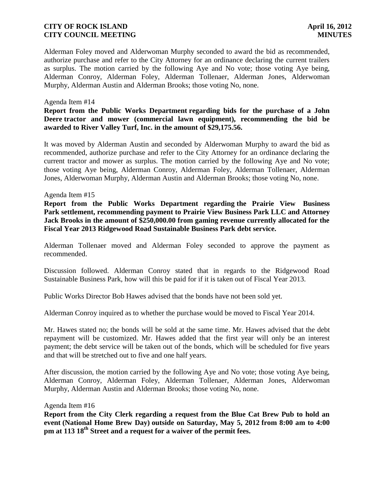Alderman Foley moved and Alderwoman Murphy seconded to award the bid as recommended, authorize purchase and refer to the City Attorney for an ordinance declaring the current trailers as surplus. The motion carried by the following Aye and No vote; those voting Aye being, Alderman Conroy, Alderman Foley, Alderman Tollenaer, Alderman Jones, Alderwoman Murphy, Alderman Austin and Alderman Brooks; those voting No, none.

### Agenda Item #14

## **Report from the Public Works Department regarding bids for the purchase of a John Deere tractor and mower (commercial lawn equipment), recommending the bid be awarded to River Valley Turf, Inc. in the amount of \$29,175.56.**

It was moved by Alderman Austin and seconded by Alderwoman Murphy to award the bid as recommended, authorize purchase and refer to the City Attorney for an ordinance declaring the current tractor and mower as surplus. The motion carried by the following Aye and No vote; those voting Aye being, Alderman Conroy, Alderman Foley, Alderman Tollenaer, Alderman Jones, Alderwoman Murphy, Alderman Austin and Alderman Brooks; those voting No, none.

### Agenda Item #15

**Report from the Public Works Department regarding the Prairie View Business Park settlement, recommending payment to Prairie View Business Park LLC and Attorney Jack Brooks in the amount of \$250,000.00 from gaming revenue currently allocated for the Fiscal Year 2013 Ridgewood Road Sustainable Business Park debt service.**

Alderman Tollenaer moved and Alderman Foley seconded to approve the payment as recommended.

Discussion followed. Alderman Conroy stated that in regards to the Ridgewood Road Sustainable Business Park, how will this be paid for if it is taken out of Fiscal Year 2013.

Public Works Director Bob Hawes advised that the bonds have not been sold yet.

Alderman Conroy inquired as to whether the purchase would be moved to Fiscal Year 2014.

Mr. Hawes stated no; the bonds will be sold at the same time. Mr. Hawes advised that the debt repayment will be customized. Mr. Hawes added that the first year will only be an interest payment; the debt service will be taken out of the bonds, which will be scheduled for five years and that will be stretched out to five and one half years.

After discussion, the motion carried by the following Aye and No vote; those voting Aye being, Alderman Conroy, Alderman Foley, Alderman Tollenaer, Alderman Jones, Alderwoman Murphy, Alderman Austin and Alderman Brooks; those voting No, none.

### Agenda Item #16

**Report from the City Clerk regarding a request from the Blue Cat Brew Pub to hold an event (National Home Brew Day) outside on Saturday, May 5, 2012 from 8:00 am to 4:00 pm at 113 18 th Street and a request for a waiver of the permit fees.**